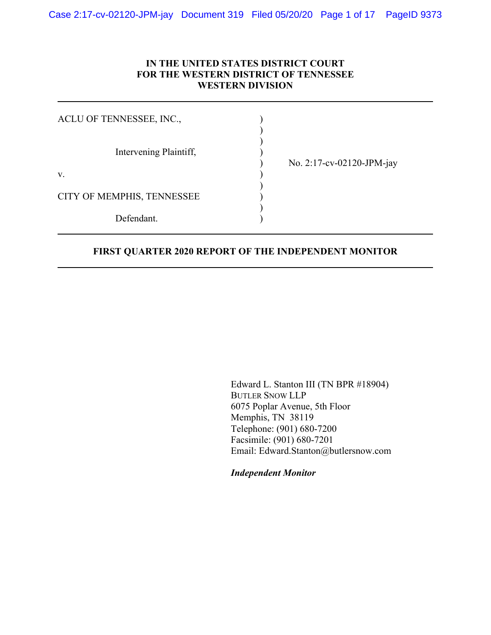## **IN THE UNITED STATES DISTRICT COURT FOR THE WESTERN DISTRICT OF TENNESSEE WESTERN DIVISION**

| ACLU OF TENNESSEE, INC.,   |                           |
|----------------------------|---------------------------|
| Intervening Plaintiff,     | No. 2:17-cv-02120-JPM-jay |
| V.                         |                           |
| CITY OF MEMPHIS, TENNESSEE |                           |
| Defendant.                 |                           |

### **FIRST QUARTER 2020 REPORT OF THE INDEPENDENT MONITOR**

Edward L. Stanton III (TN BPR #18904) BUTLER SNOW LLP 6075 Poplar Avenue, 5th Floor Memphis, TN 38119 Telephone: (901) 680-7200 Facsimile: (901) 680-7201 Email: Edward.Stanton@butlersnow.com

*Independent Monitor*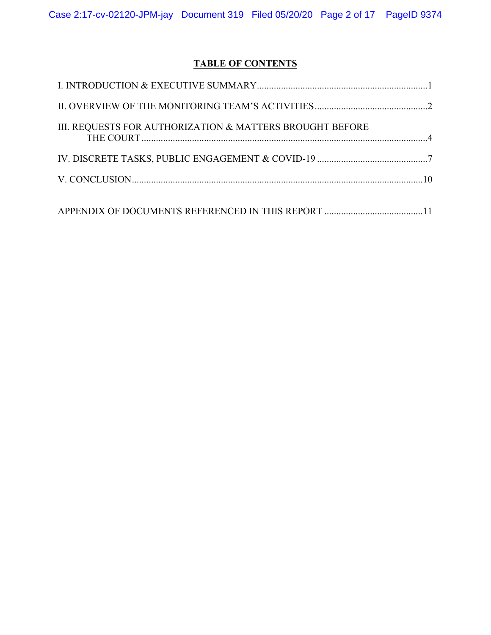# **TABLE OF CONTENTS**

| III. REQUESTS FOR AUTHORIZATION & MATTERS BROUGHT BEFORE |  |
|----------------------------------------------------------|--|
|                                                          |  |
|                                                          |  |
|                                                          |  |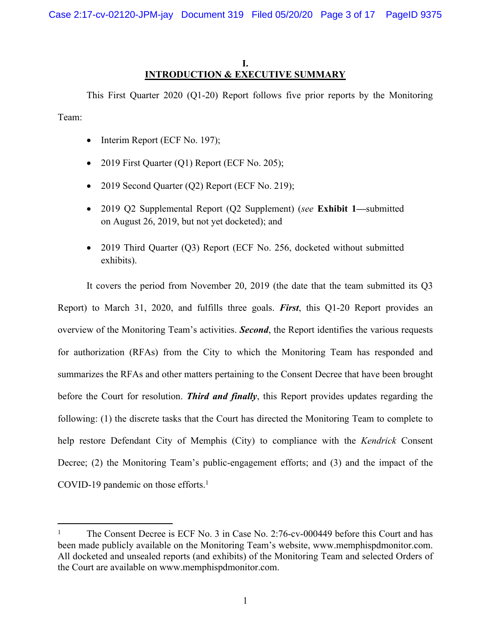## <span id="page-2-0"></span>**I. INTRODUCTION & EXECUTIVE SUMMARY**

This First Quarter 2020 (Q1-20) Report follows five prior reports by the Monitoring Team:

- $\bullet$  Interim Report (ECF No. 197);
- 2019 First Quarter  $(Q1)$  Report (ECF No. 205);
- 2019 Second Quarter (Q2) Report (ECF No. 219);
- 2019 Q2 Supplemental Report (Q2 Supplement) (*see* **Exhibit 1—**submitted on August 26, 2019, but not yet docketed); and
- 2019 Third Quarter (Q3) Report (ECF No. 256, docketed without submitted exhibits).

It covers the period from November 20, 2019 (the date that the team submitted its Q3 Report) to March 31, 2020, and fulfills three goals. *First*, this Q1-20 Report provides an overview of the Monitoring Team's activities. *Second*, the Report identifies the various requests for authorization (RFAs) from the City to which the Monitoring Team has responded and summarizes the RFAs and other matters pertaining to the Consent Decree that have been brought before the Court for resolution. *Third and finally*, this Report provides updates regarding the following: (1) the discrete tasks that the Court has directed the Monitoring Team to complete to help restore Defendant City of Memphis (City) to compliance with the *Kendrick* Consent Decree; (2) the Monitoring Team's public-engagement efforts; and (3) and the impact of the COVID-19 pandemic on those efforts.<sup>1</sup>

<sup>1</sup> The Consent Decree is ECF No. 3 in Case No. 2:76-cv-000449 before this Court and has been made publicly available on the Monitoring Team's website, www.memphispdmonitor.com. All docketed and unsealed reports (and exhibits) of the Monitoring Team and selected Orders of the Court are available on www.memphispdmonitor.com.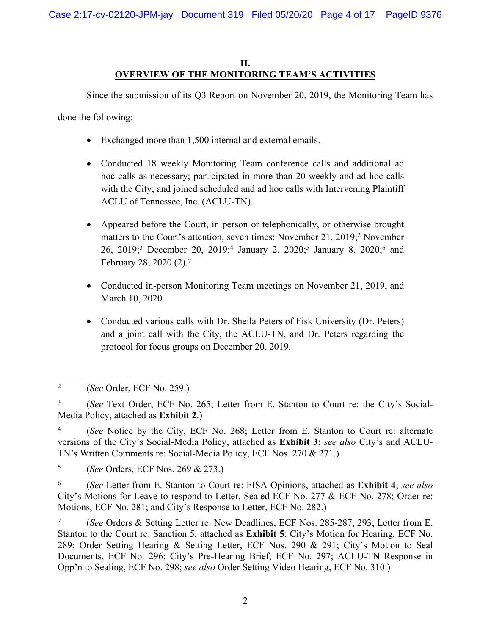## <span id="page-3-0"></span>**II. OVERVIEW OF THE MONITORING TEAM'S ACTIVITIES**

Since the submission of its Q3 Report on November 20, 2019, the Monitoring Team has

done the following:

- Exchanged more than 1,500 internal and external emails.
- Conducted 18 weekly Monitoring Team conference calls and additional ad hoc calls as necessary; participated in more than 20 weekly and ad hoc calls with the City; and joined scheduled and ad hoc calls with Intervening Plaintiff ACLU of Tennessee, Inc. (ACLU-TN).
- Appeared before the Court, in person or telephonically, or otherwise brought matters to the Court's attention, seven times: November 21, 2019;<sup>2</sup> November 26, 2019;<sup>3</sup> December 20, 2019;<sup>4</sup> January 2, 2020;<sup>5</sup> January 8, 2020;<sup>6</sup> and February 28, 2020 (2).<sup>7</sup>
- Conducted in-person Monitoring Team meetings on November 21, 2019, and March 10, 2020.
- Conducted various calls with Dr. Sheila Peters of Fisk University (Dr. Peters) and a joint call with the City, the ACLU-TN, and Dr. Peters regarding the protocol for focus groups on December 20, 2019.

<sup>2</sup> (*See* Order, ECF No. 259.)

<sup>3</sup> (*See* Text Order, ECF No. 265; Letter from E. Stanton to Court re: the City's Social-Media Policy, attached as **Exhibit 2**.)

<sup>4</sup> (*See* Notice by the City, ECF No. 268; Letter from E. Stanton to Court re: alternate versions of the City's Social-Media Policy, attached as **Exhibit 3**; *see also* City's and ACLU-TN's Written Comments re: Social-Media Policy, ECF Nos. 270 & 271.)

<sup>5</sup> (*See* Orders, ECF Nos. 269 & 273.)

<sup>6</sup> (*See* Letter from E. Stanton to Court re: FISA Opinions, attached as **Exhibit 4**; *see also*  City's Motions for Leave to respond to Letter, Sealed ECF No. 277 & ECF No. 278; Order re: Motions, ECF No. 281; and City's Response to Letter, ECF No. 282.)

<sup>7</sup> (*See* Orders & Setting Letter re: New Deadlines, ECF Nos. 285-287, 293; Letter from E. Stanton to the Court re: Sanction 5, attached as **Exhibit 5**; City's Motion for Hearing, ECF No. 289; Order Setting Hearing & Setting Letter, ECF Nos. 290 & 291; City's Motion to Seal Documents, ECF No. 296; City's Pre-Hearing Brief, ECF No. 297; ACLU-TN Response in Opp'n to Sealing, ECF No. 298; *see also* Order Setting Video Hearing, ECF No. 310.)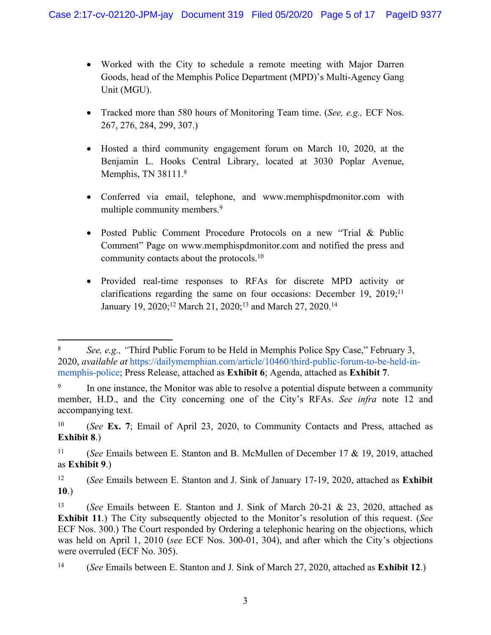- Worked with the City to schedule a remote meeting with Major Darren Goods, head of the Memphis Police Department (MPD)'s Multi-Agency Gang Unit (MGU).
- Tracked more than 580 hours of Monitoring Team time. (*See, e.g.,* ECF Nos. 267, 276, 284, 299, 307.)
- Hosted a third community engagement forum on March 10, 2020, at the Benjamin L. Hooks Central Library, located at 3030 Poplar Avenue, Memphis, TN 38111.8
- Conferred via email, telephone, and www.memphispdmonitor.com with multiple community members.<sup>9</sup>
- Posted Public Comment Procedure Protocols on a new "Trial & Public Comment" Page on www.memphispdmonitor.com and notified the press and community contacts about the protocols.<sup>10</sup>
- Provided real-time responses to RFAs for discrete MPD activity or clarifications regarding the same on four occasions: December 19, 2019;<sup>11</sup> January 19, 2020;<sup>12</sup> March 21, 2020;<sup>13</sup> and March 27, 2020.<sup>14</sup>

<sup>8</sup> *See, e.g., "*Third Public Forum to be Held in Memphis Police Spy Case," February 3, 2020, *available at* https://dailymemphian.com/article/10460/third-public-forum-to-be-held-inmemphis-police; Press Release, attached as **Exhibit 6**; Agenda, attached as **Exhibit 7**.

<sup>9</sup> In one instance, the Monitor was able to resolve a potential dispute between a community member, H.D., and the City concerning one of the City's RFAs. *See infra* note 12 and accompanying text.

<sup>10</sup> (*See* **Ex. 7**; Email of April 23, 2020, to Community Contacts and Press, attached as **Exhibit 8**.)

<sup>11</sup> (*See* Emails between E. Stanton and B. McMullen of December 17 & 19, 2019, attached as **Exhibit 9**.)

<sup>12</sup> (*See* Emails between E. Stanton and J. Sink of January 17-19, 2020, attached as **Exhibit 10**.)

<sup>13</sup> (*See* Emails between E. Stanton and J. Sink of March 20-21 & 23, 2020, attached as **Exhibit 11**.) The City subsequently objected to the Monitor's resolution of this request. (*See* ECF Nos. 300.) The Court responded by Ordering a telephonic hearing on the objections, which was held on April 1, 2010 (*see* ECF Nos. 300-01, 304), and after which the City's objections were overruled (ECF No. 305).

<sup>14</sup> (*See* Emails between E. Stanton and J. Sink of March 27, 2020, attached as **Exhibit 12**.)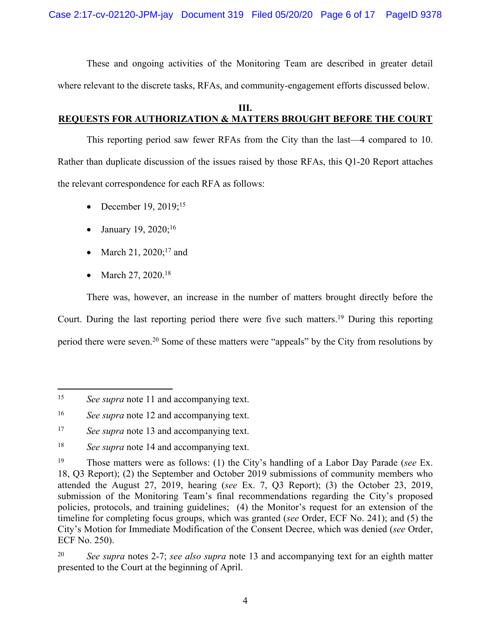These and ongoing activities of the Monitoring Team are described in greater detail where relevant to the discrete tasks, RFAs, and community-engagement efforts discussed below.

## <span id="page-5-0"></span>**III. REQUESTS FOR AUTHORIZATION & MATTERS BROUGHT BEFORE THE COURT**

This reporting period saw fewer RFAs from the City than the last—4 compared to 10. Rather than duplicate discussion of the issues raised by those RFAs, this Q1-20 Report attaches the relevant correspondence for each RFA as follows:

- December 19,  $2019$ ;<sup>15</sup>
- January 19, 2020;<sup>16</sup>
- March 21,  $2020$ ;<sup>17</sup> and
- March 27, 2020.<sup>18</sup>

There was, however, an increase in the number of matters brought directly before the Court. During the last reporting period there were five such matters.<sup>19</sup> During this reporting period there were seven.<sup>20</sup> Some of these matters were "appeals" by the City from resolutions by

<sup>15</sup> *See supra* note 11 and accompanying text.

<sup>16</sup> *See supra* note 12 and accompanying text.

<sup>&</sup>lt;sup>17</sup> *See supra* note 13 and accompanying text.

<sup>18</sup> *See supra* note 14 and accompanying text.

<sup>19</sup> Those matters were as follows: (1) the City's handling of a Labor Day Parade (*see* Ex. 18, Q3 Report); (2) the September and October 2019 submissions of community members who attended the August 27, 2019, hearing (*see* Ex. 7, Q3 Report); (3) the October 23, 2019, submission of the Monitoring Team's final recommendations regarding the City's proposed policies, protocols, and training guidelines; (4) the Monitor's request for an extension of the timeline for completing focus groups, which was granted (*see* Order, ECF No. 241); and (5) the City's Motion for Immediate Modification of the Consent Decree, which was denied (*see* Order, ECF No. 250).

<sup>20</sup> *See supra* notes 2-7; *see also supra* note 13 and accompanying text for an eighth matter presented to the Court at the beginning of April.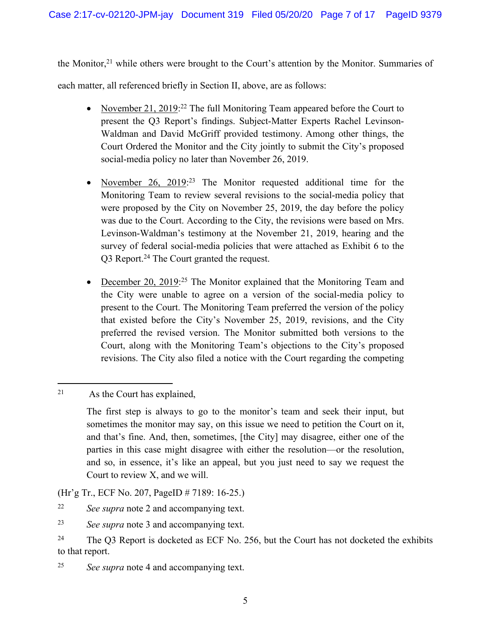the Monitor,<sup>21</sup> while others were brought to the Court's attention by the Monitor. Summaries of each matter, all referenced briefly in Section II, above, are as follows:

- November 21, 2019:<sup>22</sup> The full Monitoring Team appeared before the Court to present the Q3 Report's findings. Subject-Matter Experts Rachel Levinson-Waldman and David McGriff provided testimony. Among other things, the Court Ordered the Monitor and the City jointly to submit the City's proposed social-media policy no later than November 26, 2019.
- November 26, 2019:<sup>23</sup> The Monitor requested additional time for the Monitoring Team to review several revisions to the social-media policy that were proposed by the City on November 25, 2019, the day before the policy was due to the Court. According to the City, the revisions were based on Mrs. Levinson-Waldman's testimony at the November 21, 2019, hearing and the survey of federal social-media policies that were attached as Exhibit 6 to the Q3 Report.<sup>24</sup> The Court granted the request.
- December 20, 2019:<sup>25</sup> The Monitor explained that the Monitoring Team and the City were unable to agree on a version of the social-media policy to present to the Court. The Monitoring Team preferred the version of the policy that existed before the City's November 25, 2019, revisions, and the City preferred the revised version. The Monitor submitted both versions to the Court, along with the Monitoring Team's objections to the City's proposed revisions. The City also filed a notice with the Court regarding the competing

(Hr'g Tr., ECF No. 207, PageID # 7189: 16-25.)

<sup>25</sup> *See supra* note 4 and accompanying text.

<sup>21</sup> As the Court has explained,

The first step is always to go to the monitor's team and seek their input, but sometimes the monitor may say, on this issue we need to petition the Court on it, and that's fine. And, then, sometimes, [the City] may disagree, either one of the parties in this case might disagree with either the resolution—or the resolution, and so, in essence, it's like an appeal, but you just need to say we request the Court to review X, and we will.

<sup>22</sup> *See supra* note 2 and accompanying text.

<sup>23</sup> *See supra* note 3 and accompanying text.

<sup>&</sup>lt;sup>24</sup> The Q3 Report is docketed as ECF No. 256, but the Court has not docketed the exhibits to that report.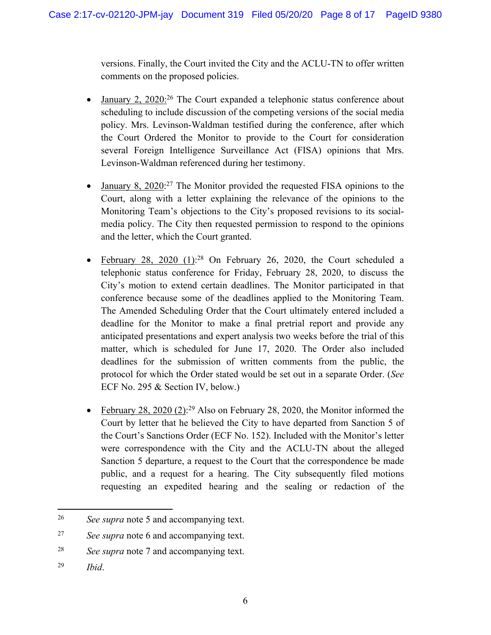versions. Finally, the Court invited the City and the ACLU-TN to offer written comments on the proposed policies.

- January 2, 2020:<sup>26</sup> The Court expanded a telephonic status conference about scheduling to include discussion of the competing versions of the social media policy. Mrs. Levinson-Waldman testified during the conference, after which the Court Ordered the Monitor to provide to the Court for consideration several Foreign Intelligence Surveillance Act (FISA) opinions that Mrs. Levinson-Waldman referenced during her testimony.
- January 8,  $2020<sup>27</sup>$  The Monitor provided the requested FISA opinions to the Court, along with a letter explaining the relevance of the opinions to the Monitoring Team's objections to the City's proposed revisions to its socialmedia policy. The City then requested permission to respond to the opinions and the letter, which the Court granted.
- February 28, 2020  $(1)$ :<sup>28</sup> On February 26, 2020, the Court scheduled a telephonic status conference for Friday, February 28, 2020, to discuss the City's motion to extend certain deadlines. The Monitor participated in that conference because some of the deadlines applied to the Monitoring Team. The Amended Scheduling Order that the Court ultimately entered included a deadline for the Monitor to make a final pretrial report and provide any anticipated presentations and expert analysis two weeks before the trial of this matter, which is scheduled for June 17, 2020. The Order also included deadlines for the submission of written comments from the public, the protocol for which the Order stated would be set out in a separate Order. (*See*  ECF No. 295 & Section IV, below.)
- February 28, 2020 (2):<sup>29</sup> Also on February 28, 2020, the Monitor informed the Court by letter that he believed the City to have departed from Sanction 5 of the Court's Sanctions Order (ECF No. 152). Included with the Monitor's letter were correspondence with the City and the ACLU-TN about the alleged Sanction 5 departure, a request to the Court that the correspondence be made public, and a request for a hearing. The City subsequently filed motions requesting an expedited hearing and the sealing or redaction of the

<sup>26</sup> *See supra* note 5 and accompanying text.

<sup>27</sup> *See supra* note 6 and accompanying text.

<sup>28</sup> *See supra* note 7 and accompanying text.

<sup>29</sup> *Ibid*.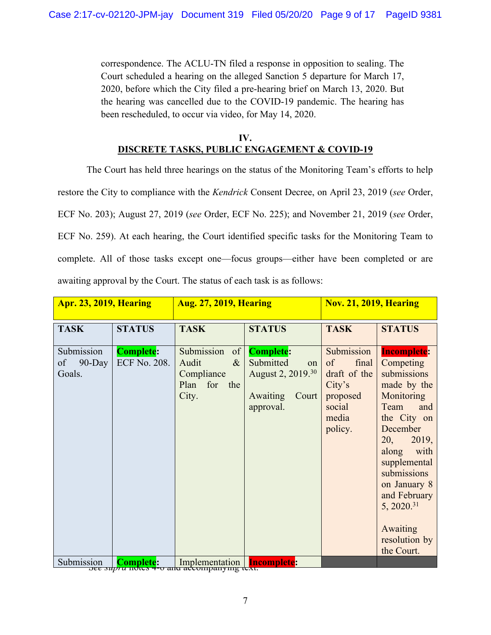correspondence. The ACLU-TN filed a response in opposition to sealing. The Court scheduled a hearing on the alleged Sanction 5 departure for March 17, 2020, before which the City filed a pre-hearing brief on March 13, 2020. But the hearing was cancelled due to the COVID-19 pandemic. The hearing has been rescheduled, to occur via video, for May 14, 2020.

## <span id="page-8-0"></span>**IV. DISCRETE TASKS, PUBLIC ENGAGEMENT & COVID-19**

The Court has held three hearings on the status of the Monitoring Team's efforts to help restore the City to compliance with the *Kendrick* Consent Decree, on April 23, 2019 (*see* Order, ECF No. 203); August 27, 2019 (*see* Order, ECF No. 225); and November 21, 2019 (*see* Order, ECF No. 259). At each hearing, the Court identified specific tasks for the Monitoring Team to complete. All of those tasks except one—focus groups—either have been completed or are awaiting approval by the Court. The status of each task is as follows:

| <b>Apr. 23, 2019, Hearing</b>           |                                  | <b>Aug. 27, 2019, Hearing</b>                                                  |                                                                                                               | <b>Nov. 21, 2019, Hearing</b>                                                                 |                                                                                                                                                                                                                                                                                            |
|-----------------------------------------|----------------------------------|--------------------------------------------------------------------------------|---------------------------------------------------------------------------------------------------------------|-----------------------------------------------------------------------------------------------|--------------------------------------------------------------------------------------------------------------------------------------------------------------------------------------------------------------------------------------------------------------------------------------------|
| <b>TASK</b>                             | <b>STATUS</b>                    | <b>TASK</b>                                                                    | <b>STATUS</b>                                                                                                 | <b>TASK</b>                                                                                   | <b>STATUS</b>                                                                                                                                                                                                                                                                              |
| Submission<br>of<br>$90$ -Day<br>Goals. | <b>Complete:</b><br>ECF No. 208. | Submission<br>of<br>$\&$<br>Audit<br>Compliance<br>Plan<br>for<br>the<br>City. | <b>Complete:</b><br>Submitted<br>on<br>August 2, 2019. <sup>30</sup><br>Court<br><b>Awaiting</b><br>approval. | Submission<br>of<br>final<br>draft of the<br>City's<br>proposed<br>social<br>media<br>policy. | <b>Incomplete:</b><br>Competing<br>submissions<br>made by the<br>Monitoring<br>Team<br>and<br>the City on<br>December<br>2019,<br>20,<br>with<br>along<br>supplemental<br>submissions<br>on January 8<br>and February<br>5, 2020. <sup>31</sup><br>Awaiting<br>resolution by<br>the Court. |
| Submission                              | <b>Complete:</b>                 | Implementation                                                                 | <b>Incomplete:</b>                                                                                            |                                                                                               |                                                                                                                                                                                                                                                                                            |

Submission **Complete:** Implementation **Incomplete:**<br>Submission *See supra* notes 4-6 and accompanying text.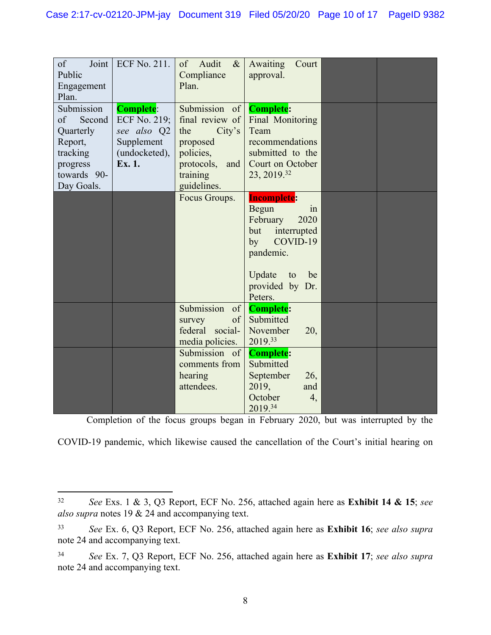| Joint<br>of<br>Public<br>Engagement<br>Plan.                                                            | <b>ECF No. 211.</b>                                                                      | of Audit<br>$\&$<br>Compliance<br>Plan.                                                                                    | Awaiting<br>Court<br>approval.                                                                                                                                        |  |
|---------------------------------------------------------------------------------------------------------|------------------------------------------------------------------------------------------|----------------------------------------------------------------------------------------------------------------------------|-----------------------------------------------------------------------------------------------------------------------------------------------------------------------|--|
| Submission<br>Second<br>of<br>Quarterly<br>Report,<br>tracking<br>progress<br>towards 90-<br>Day Goals. | <b>Complete:</b><br>ECF No. 219;<br>see also Q2<br>Supplement<br>(undocketed),<br>Ex. 1. | Submission of<br>final review of<br>City's<br>the<br>proposed<br>policies,<br>protocols,<br>and<br>training<br>guidelines. | <b>Complete:</b><br>Final Monitoring<br>Team<br>recommendations<br>submitted to the<br>Court on October<br>23, 2019.32                                                |  |
|                                                                                                         |                                                                                          | Focus Groups.                                                                                                              | <b>Incomplete:</b><br><b>Begun</b><br>1n<br>February<br>2020<br>but<br>interrupted<br>COVID-19<br>by<br>pandemic.<br>Update<br>be<br>to<br>provided by Dr.<br>Peters. |  |
|                                                                                                         |                                                                                          | Submission<br>of<br>of<br>survey<br>federal social-<br>media policies.                                                     | <b>Complete:</b><br>Submitted<br>November<br>20,<br>2019.33                                                                                                           |  |
|                                                                                                         |                                                                                          | Submission of<br>comments from<br>hearing<br>attendees.                                                                    | <b>Complete:</b><br>Submitted<br>September<br>26,<br>2019,<br>and<br>October<br>4,<br>2019.34                                                                         |  |

Completion of the focus groups began in February 2020, but was interrupted by the

COVID-19 pandemic, which likewise caused the cancellation of the Court's initial hearing on

<sup>32</sup> *See* Exs. 1 & 3, Q3 Report, ECF No. 256, attached again here as **Exhibit 14 & 15**; *see also supra* notes 19 & 24 and accompanying text.

<sup>33</sup> *See* Ex. 6, Q3 Report, ECF No. 256, attached again here as **Exhibit 16**; *see also supra*  note 24 and accompanying text.

<sup>34</sup> *See* Ex. 7, Q3 Report, ECF No. 256, attached again here as **Exhibit 17**; *see also supra*  note 24 and accompanying text.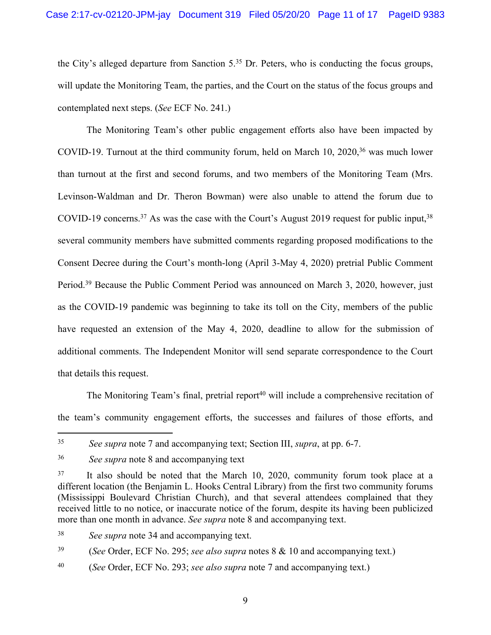the City's alleged departure from Sanction 5.<sup>35</sup> Dr. Peters, who is conducting the focus groups, will update the Monitoring Team, the parties, and the Court on the status of the focus groups and contemplated next steps. (*See* ECF No. 241.)

The Monitoring Team's other public engagement efforts also have been impacted by COVID-19. Turnout at the third community forum, held on March 10, 2020,<sup>36</sup> was much lower than turnout at the first and second forums, and two members of the Monitoring Team (Mrs. Levinson-Waldman and Dr. Theron Bowman) were also unable to attend the forum due to COVID-19 concerns.<sup>37</sup> As was the case with the Court's August 2019 request for public input,  $38$ several community members have submitted comments regarding proposed modifications to the Consent Decree during the Court's month-long (April 3-May 4, 2020) pretrial Public Comment Period.<sup>39</sup> Because the Public Comment Period was announced on March 3, 2020, however, just as the COVID-19 pandemic was beginning to take its toll on the City, members of the public have requested an extension of the May 4, 2020, deadline to allow for the submission of additional comments. The Independent Monitor will send separate correspondence to the Court that details this request.

The Monitoring Team's final, pretrial report<sup>40</sup> will include a comprehensive recitation of the team's community engagement efforts, the successes and failures of those efforts, and

<sup>35</sup> *See supra* note 7 and accompanying text; Section III, *supra*, at pp. 6-7.

<sup>36</sup> *See supra* note 8 and accompanying text

<sup>37</sup> It also should be noted that the March 10, 2020, community forum took place at a different location (the Benjamin L. Hooks Central Library) from the first two community forums (Mississippi Boulevard Christian Church), and that several attendees complained that they received little to no notice, or inaccurate notice of the forum, despite its having been publicized more than one month in advance. *See supra* note 8 and accompanying text.

<sup>38</sup> *See supra* note 34 and accompanying text.

<sup>39</sup> (*See* Order, ECF No. 295; *see also supra* notes 8 & 10 and accompanying text.)

<sup>40</sup> (*See* Order, ECF No. 293; *see also supra* note 7 and accompanying text.)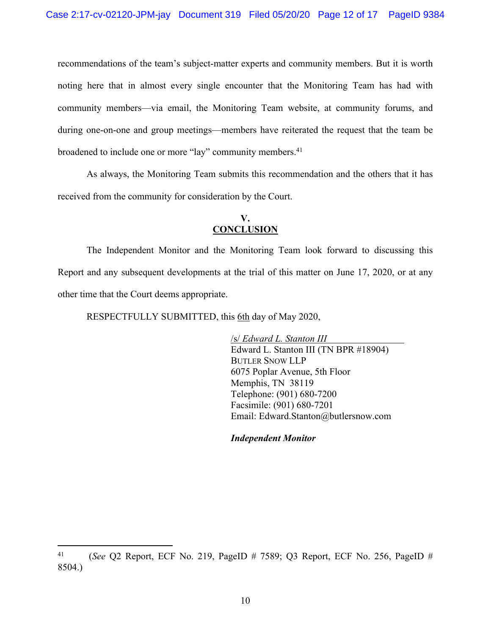recommendations of the team's subject-matter experts and community members. But it is worth noting here that in almost every single encounter that the Monitoring Team has had with community members—via email, the Monitoring Team website, at community forums, and during one-on-one and group meetings—members have reiterated the request that the team be broadened to include one or more "lay" community members.<sup>41</sup>

As always, the Monitoring Team submits this recommendation and the others that it has received from the community for consideration by the Court.

## <span id="page-11-0"></span>**V. CONCLUSION**

The Independent Monitor and the Monitoring Team look forward to discussing this Report and any subsequent developments at the trial of this matter on June 17, 2020, or at any other time that the Court deems appropriate.

RESPECTFULLY SUBMITTED, this 6th day of May 2020,

/s/ *Edward L. Stanton III* Edward L. Stanton III (TN BPR #18904) BUTLER SNOW LLP 6075 Poplar Avenue, 5th Floor Memphis, TN 38119 Telephone: (901) 680-7200 Facsimile: (901) 680-7201 Email: Edward.Stanton@butlersnow.com

*Independent Monitor*

<sup>41</sup> (*See* Q2 Report, ECF No. 219, PageID # 7589; Q3 Report, ECF No. 256, PageID # 8504.)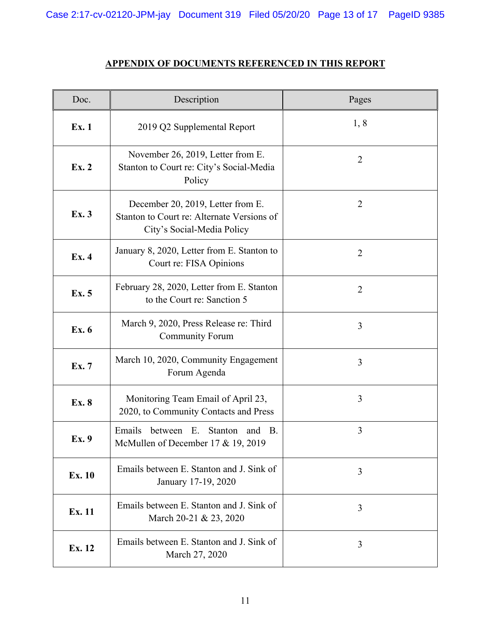Case 2:17-cv-02120-JPM-jay Document 319 Filed 05/20/20 Page 13 of 17 PageID 9385

## **APPENDIX OF DOCUMENTS REFERENCED IN THIS REPORT**

| Doc.   | Description                                                                                                   | Pages          |
|--------|---------------------------------------------------------------------------------------------------------------|----------------|
| Ex. 1  | 2019 Q2 Supplemental Report                                                                                   | 1,8            |
| Ex. 2  | November 26, 2019, Letter from E.<br>Stanton to Court re: City's Social-Media<br>Policy                       | $\overline{2}$ |
| Ex. 3  | December 20, 2019, Letter from E.<br>Stanton to Court re: Alternate Versions of<br>City's Social-Media Policy | $\overline{2}$ |
| Ex. 4  | January 8, 2020, Letter from E. Stanton to<br>Court re: FISA Opinions                                         | $\overline{2}$ |
| Ex. 5  | February 28, 2020, Letter from E. Stanton<br>to the Court re: Sanction 5                                      | $\overline{2}$ |
| Ex. 6  | March 9, 2020, Press Release re: Third<br><b>Community Forum</b>                                              | $\overline{3}$ |
| Ex. 7  | March 10, 2020, Community Engagement<br>Forum Agenda                                                          | 3              |
| Ex. 8  | Monitoring Team Email of April 23,<br>2020, to Community Contacts and Press                                   | 3              |
| Ex. 9  | Emails<br>between E.<br>Stanton<br>and B.<br>McMullen of December 17 & 19, 2019                               | 3              |
| Ex. 10 | Emails between E. Stanton and J. Sink of<br>January 17-19, 2020                                               | 3              |
| Ex. 11 | Emails between E. Stanton and J. Sink of<br>March 20-21 & 23, 2020                                            | 3              |
| Ex. 12 | Emails between E. Stanton and J. Sink of<br>March 27, 2020                                                    | 3              |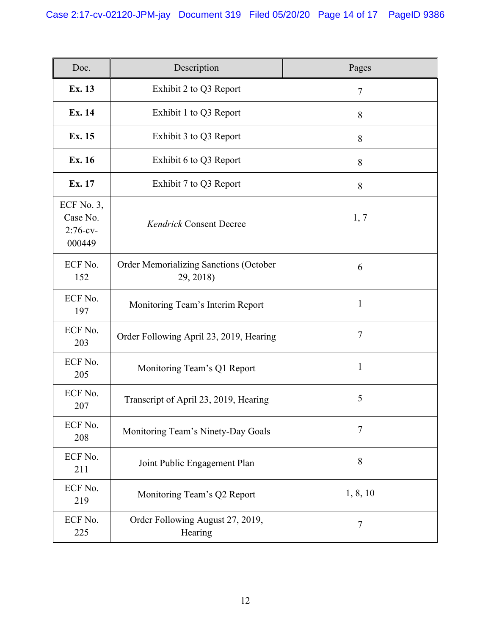| Doc.                                               | Description                                                | Pages          |
|----------------------------------------------------|------------------------------------------------------------|----------------|
| Ex. 13                                             | Exhibit 2 to Q3 Report                                     | $\tau$         |
| Ex. 14                                             | Exhibit 1 to Q3 Report                                     | 8              |
| Ex. 15                                             | Exhibit 3 to Q3 Report                                     | 8              |
| Ex. 16                                             | Exhibit 6 to Q3 Report                                     | 8              |
| Ex. 17                                             | Exhibit 7 to Q3 Report                                     | 8              |
| ECF No. $3$ ,<br>Case No.<br>$2:76$ -cv-<br>000449 | <b>Kendrick Consent Decree</b>                             | 1, 7           |
| ECF No.<br>152                                     | <b>Order Memorializing Sanctions (October</b><br>29, 2018) | 6              |
| ECF No.<br>197                                     | Monitoring Team's Interim Report                           | $\mathbf{1}$   |
| ECF No.<br>203                                     | Order Following April 23, 2019, Hearing                    | $\overline{7}$ |
| ECF No.<br>205                                     | Monitoring Team's Q1 Report                                | $\mathbf{1}$   |
| ECF No.<br>207                                     | Transcript of April 23, 2019, Hearing                      | 5              |
| ECF No.<br>208                                     | Monitoring Team's Ninety-Day Goals                         | 7              |
| ECF No.<br>211                                     | Joint Public Engagement Plan                               | 8              |
| ECF No.<br>219                                     | Monitoring Team's Q2 Report                                | 1, 8, 10       |
| ECF No.<br>225                                     | Order Following August 27, 2019,<br>Hearing                | $\tau$         |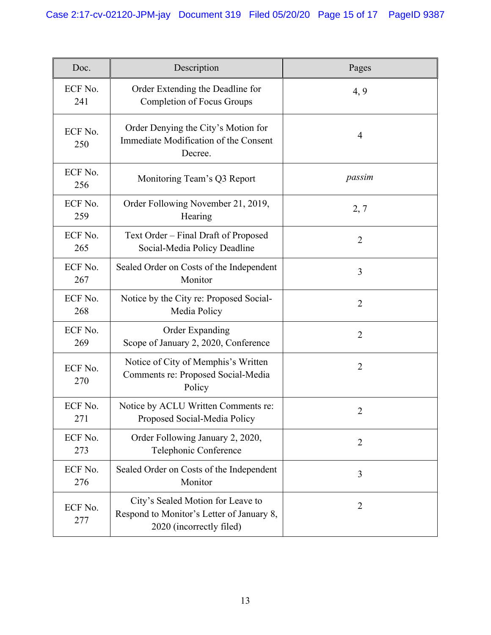| Doc.           | Description                                                                                                | Pages          |
|----------------|------------------------------------------------------------------------------------------------------------|----------------|
| ECF No.<br>241 | Order Extending the Deadline for<br><b>Completion of Focus Groups</b>                                      | 4, 9           |
| ECF No.<br>250 | Order Denying the City's Motion for<br>Immediate Modification of the Consent<br>Decree.                    | $\overline{4}$ |
| ECF No.<br>256 | Monitoring Team's Q3 Report                                                                                | passim         |
| ECF No.<br>259 | Order Following November 21, 2019,<br>Hearing                                                              | 2, 7           |
| ECF No.<br>265 | Text Order – Final Draft of Proposed<br>Social-Media Policy Deadline                                       | $\overline{2}$ |
| ECF No.<br>267 | Sealed Order on Costs of the Independent<br>Monitor                                                        | 3              |
| ECF No.<br>268 | Notice by the City re: Proposed Social-<br>Media Policy                                                    | $\overline{2}$ |
| ECF No.<br>269 | Order Expanding<br>Scope of January 2, 2020, Conference                                                    | $\overline{2}$ |
| ECF No.<br>270 | Notice of City of Memphis's Written<br>Comments re: Proposed Social-Media<br>Policy                        | $\overline{2}$ |
| ECF No.<br>271 | Notice by ACLU Written Comments re:<br>Proposed Social-Media Policy                                        | $\overline{2}$ |
| ECF No.<br>273 | Order Following January 2, 2020,<br>Telephonic Conference                                                  | $\overline{2}$ |
| ECF No.<br>276 | Sealed Order on Costs of the Independent<br>Monitor                                                        | 3              |
| ECF No.<br>277 | City's Sealed Motion for Leave to<br>Respond to Monitor's Letter of January 8,<br>2020 (incorrectly filed) | $\overline{2}$ |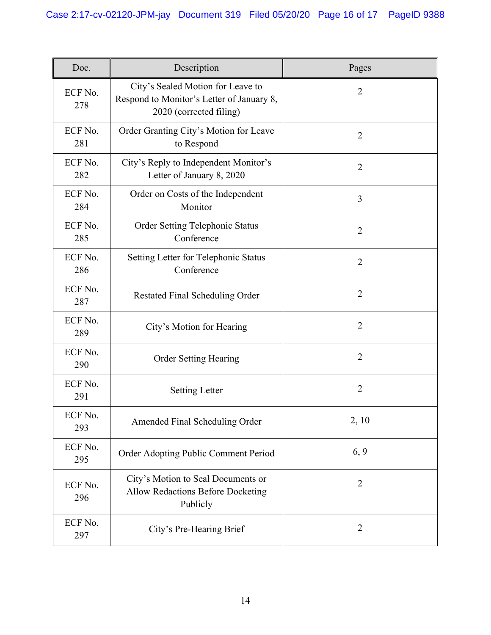| Doc.           | Description                                                                                               | Pages          |
|----------------|-----------------------------------------------------------------------------------------------------------|----------------|
| ECF No.<br>278 | City's Sealed Motion for Leave to<br>Respond to Monitor's Letter of January 8,<br>2020 (corrected filing) | $\overline{2}$ |
| ECF No.<br>281 | Order Granting City's Motion for Leave<br>to Respond                                                      | $\overline{2}$ |
| ECF No.<br>282 | City's Reply to Independent Monitor's<br>Letter of January 8, 2020                                        | $\overline{2}$ |
| ECF No.<br>284 | Order on Costs of the Independent<br>Monitor                                                              | 3              |
| ECF No.<br>285 | Order Setting Telephonic Status<br>Conference                                                             | $\overline{2}$ |
| ECF No.<br>286 | Setting Letter for Telephonic Status<br>Conference                                                        | $\overline{2}$ |
| ECF No.<br>287 | <b>Restated Final Scheduling Order</b>                                                                    | $\overline{2}$ |
| ECF No.<br>289 | City's Motion for Hearing                                                                                 | $\overline{2}$ |
| ECF No.<br>290 | <b>Order Setting Hearing</b>                                                                              | $\overline{2}$ |
| ECF No.<br>291 | <b>Setting Letter</b>                                                                                     | $\overline{2}$ |
| ECF No.<br>293 | Amended Final Scheduling Order                                                                            | 2, 10          |
| ECF No.<br>295 | Order Adopting Public Comment Period                                                                      | 6, 9           |
| ECF No.<br>296 | City's Motion to Seal Documents or<br><b>Allow Redactions Before Docketing</b><br>Publicly                | $\overline{2}$ |
| ECF No.<br>297 | City's Pre-Hearing Brief                                                                                  | $\overline{2}$ |